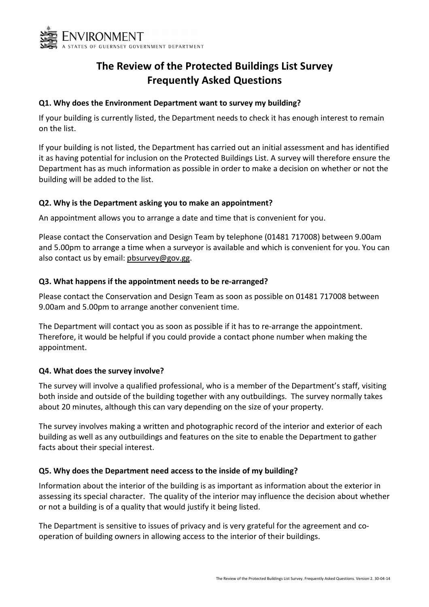

# The Review of the Protected Buildings List Survey Frequently Asked Questions

### Q1. Why does the Environment Department want to survey my building?

If your building is currently listed, the Department needs to check it has enough interest to remain on the list.

If your building is not listed, the Department has carried out an initial assessment and has identified it as having potential for inclusion on the Protected Buildings List. A survey will therefore ensure the Department has as much information as possible in order to make a decision on whether or not the building will be added to the list.

## Q2. Why is the Department asking you to make an appointment?

An appointment allows you to arrange a date and time that is convenient for you.

Please contact the Conservation and Design Team by telephone (01481 717008) between 9.00am and 5.00pm to arrange a time when a surveyor is available and which is convenient for you. You can also contact us by email: pbsurvey@gov.gg.

## Q3. What happens if the appointment needs to be re-arranged?

Please contact the Conservation and Design Team as soon as possible on 01481 717008 between 9.00am and 5.00pm to arrange another convenient time.

The Department will contact you as soon as possible if it has to re-arrange the appointment. Therefore, it would be helpful if you could provide a contact phone number when making the appointment.

#### Q4. What does the survey involve?

The survey will involve a qualified professional, who is a member of the Department's staff, visiting both inside and outside of the building together with any outbuildings. The survey normally takes about 20 minutes, although this can vary depending on the size of your property.

The survey involves making a written and photographic record of the interior and exterior of each building as well as any outbuildings and features on the site to enable the Department to gather facts about their special interest.

## Q5. Why does the Department need access to the inside of my building?

Information about the interior of the building is as important as information about the exterior in assessing its special character. The quality of the interior may influence the decision about whether or not a building is of a quality that would justify it being listed.

The Department is sensitive to issues of privacy and is very grateful for the agreement and cooperation of building owners in allowing access to the interior of their buildings.